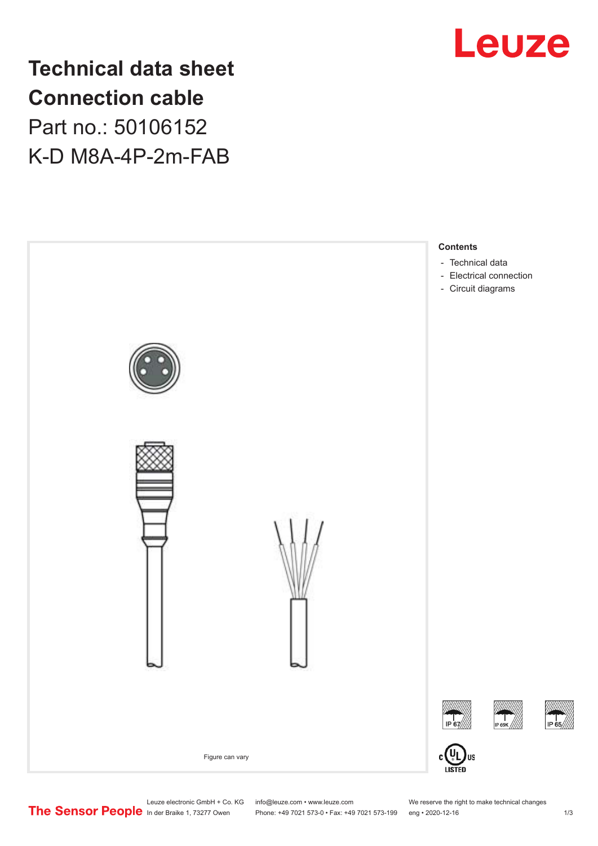

**Technical data sheet Connection cable** Part no.: 50106152 K-D M8A-4P-2m-FAB



Leuze electronic GmbH + Co. KG info@leuze.com • www.leuze.com We reserve the right to make technical changes<br>
The Sensor People in der Braike 1, 73277 Owen Phone: +49 7021 573-0 • Fax: +49 7021 573-199 eng • 2020-12-16

Phone: +49 7021 573-0 • Fax: +49 7021 573-199 eng • 2020-12-16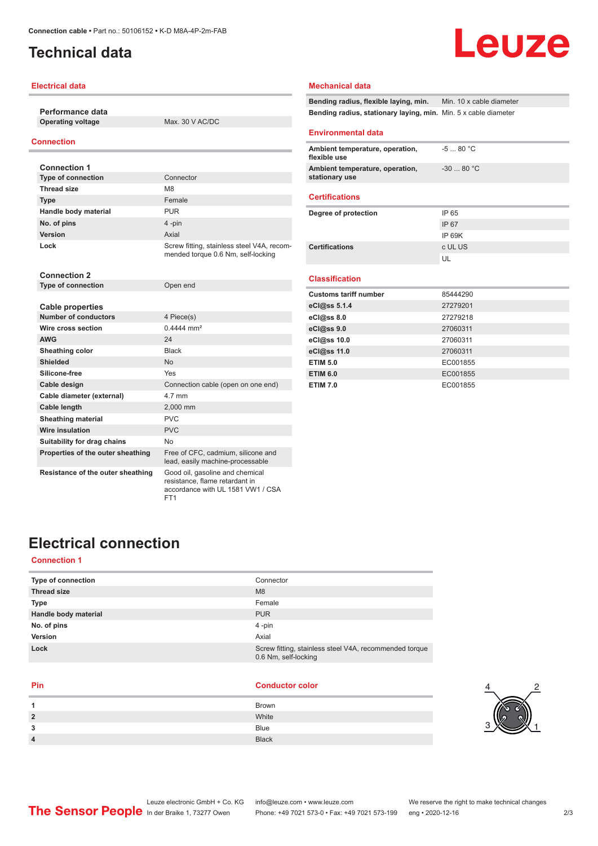## <span id="page-1-0"></span>**Technical data**

### **Electrical data**

**Performance data Operating voltage** Max. 30 V AC/DC

## **Connection**

| <b>Connection 1</b>       |                                                                                  |
|---------------------------|----------------------------------------------------------------------------------|
| <b>Type of connection</b> | Connector                                                                        |
| <b>Thread size</b>        | M8                                                                               |
| <b>Type</b>               | Female                                                                           |
| Handle body material      | <b>PUR</b>                                                                       |
| No. of pins               | 4-pin                                                                            |
| <b>Version</b>            | Axial                                                                            |
| Lock                      | Screw fitting, stainless steel V4A, recom-<br>mended torque 0.6 Nm, self-locking |

| <b>Connection 2</b>               |                                                                        |
|-----------------------------------|------------------------------------------------------------------------|
| <b>Type of connection</b>         | Open end                                                               |
|                                   |                                                                        |
| Cable properties                  |                                                                        |
| <b>Number of conductors</b>       | 4 Piece(s)                                                             |
| Wire cross section                | $0.4444$ mm <sup>2</sup>                                               |
| <b>AWG</b>                        | 24                                                                     |
| Sheathing color                   | <b>Black</b>                                                           |
| Shielded                          | <b>No</b>                                                              |
| Silicone-free                     | Yes                                                                    |
| Cable design                      | Connection cable (open on one end)                                     |
| Cable diameter (external)         | 4 7 mm                                                                 |
| Cable length                      | 2,000 mm                                                               |
| <b>Sheathing material</b>         | <b>PVC</b>                                                             |
| Wire insulation                   | <b>PVC</b>                                                             |
| Suitability for drag chains       | No                                                                     |
| Properties of the outer sheathing | Free of CFC, cadmium, silicone and<br>lead, easily machine-processable |
| Resistance of the outer sheathing | Good oil, gasoline and chemical<br>resistance, flame retardant in      |

FT1

#### **Mechanical data**

**Bending radius, flexible laying, min.** Min. 10 x cable diameter **Bending radius, stationary laying, min.** Min. 5 x cable diameter

#### **Environmental data**

| Ambient temperature, operation,<br>flexible use   | -5  80 °C  |
|---------------------------------------------------|------------|
| Ambient temperature, operation,<br>stationary use | $-3080 °C$ |

#### **Certifications**

| IP 65   |
|---------|
| IP 67   |
| IP 69K  |
| c UL US |
| UЕ      |
|         |

## **Classification**

| <b>Customs tariff number</b> | 85444290 |
|------------------------------|----------|
| eCl@ss 5.1.4                 | 27279201 |
| eCl@ss 8.0                   | 27279218 |
| eCl@ss 9.0                   | 27060311 |
| eCl@ss 10.0                  | 27060311 |
| eCl@ss 11.0                  | 27060311 |
| <b>ETIM 5.0</b>              | EC001855 |
| <b>ETIM 6.0</b>              | EC001855 |
| <b>ETIM 7.0</b>              | EC001855 |

## **Electrical connection**

## **Connection 1**

| Type of connection   | Connector                                                                      |
|----------------------|--------------------------------------------------------------------------------|
| <b>Thread size</b>   | M <sub>8</sub>                                                                 |
| <b>Type</b>          | Female                                                                         |
| Handle body material | <b>PUR</b>                                                                     |
| No. of pins          | 4-pin                                                                          |
| Version              | Axial                                                                          |
| Lock                 | Screw fitting, stainless steel V4A, recommended torque<br>0.6 Nm, self-locking |

accordance with UL 1581 VW1 / CSA

| <b>Conductor color</b> |
|------------------------|
| <b>Brown</b>           |
| White                  |
| <b>Blue</b>            |
| <b>Black</b>           |
|                        |



# Leuze